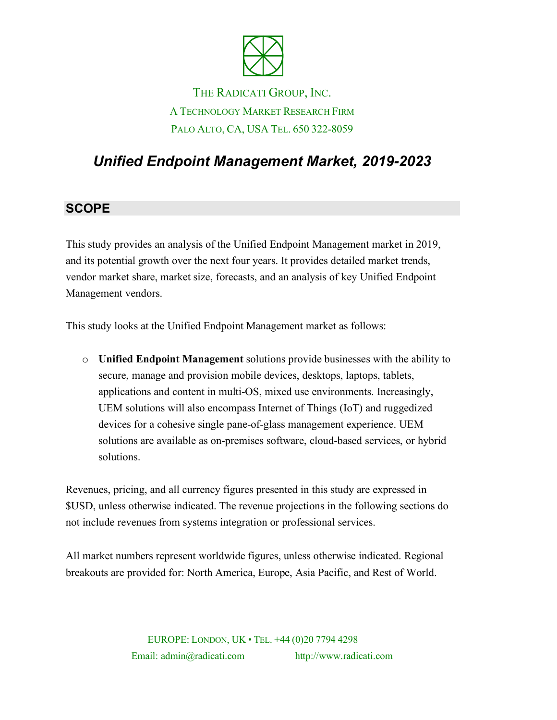

# THE RADICATI GROUP, INC. A TECHNOLOGY MARKET RESEARCH FIRM PALO ALTO, CA, USA TEL. 650 322-8059

# *Unified Endpoint Management Market, 2019-2023*

### **SCOPE**

This study provides an analysis of the Unified Endpoint Management market in 2019, and its potential growth over the next four years. It provides detailed market trends, vendor market share, market size, forecasts, and an analysis of key Unified Endpoint Management vendors.

This study looks at the Unified Endpoint Management market as follows:

o **Unified Endpoint Management** solutions provide businesses with the ability to secure, manage and provision mobile devices, desktops, laptops, tablets, applications and content in multi-OS, mixed use environments. Increasingly, UEM solutions will also encompass Internet of Things (IoT) and ruggedized devices for a cohesive single pane-of-glass management experience. UEM solutions are available as on-premises software, cloud-based services, or hybrid solutions.

Revenues, pricing, and all currency figures presented in this study are expressed in \$USD, unless otherwise indicated. The revenue projections in the following sections do not include revenues from systems integration or professional services.

All market numbers represent worldwide figures, unless otherwise indicated. Regional breakouts are provided for: North America, Europe, Asia Pacific, and Rest of World.

> EUROPE: LONDON, UK • TEL. +44 (0)20 7794 4298 Email: admin@radicati.com http://www.radicati.com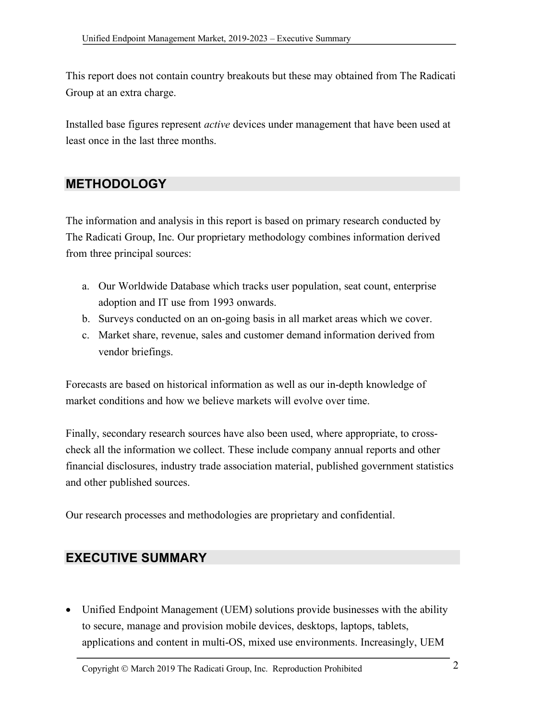This report does not contain country breakouts but these may obtained from The Radicati Group at an extra charge.

Installed base figures represent *active* devices under management that have been used at least once in the last three months.

### **METHODOLOGY**

The information and analysis in this report is based on primary research conducted by The Radicati Group, Inc. Our proprietary methodology combines information derived from three principal sources:

- a. Our Worldwide Database which tracks user population, seat count, enterprise adoption and IT use from 1993 onwards.
- b. Surveys conducted on an on-going basis in all market areas which we cover.
- c. Market share, revenue, sales and customer demand information derived from vendor briefings.

Forecasts are based on historical information as well as our in-depth knowledge of market conditions and how we believe markets will evolve over time.

Finally, secondary research sources have also been used, where appropriate, to crosscheck all the information we collect. These include company annual reports and other financial disclosures, industry trade association material, published government statistics and other published sources.

Our research processes and methodologies are proprietary and confidential.

### **EXECUTIVE SUMMARY**

• Unified Endpoint Management (UEM) solutions provide businesses with the ability to secure, manage and provision mobile devices, desktops, laptops, tablets, applications and content in multi-OS, mixed use environments. Increasingly, UEM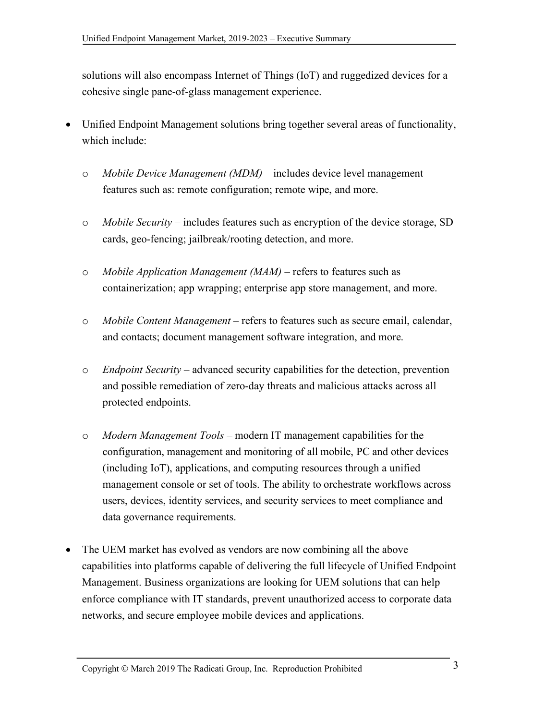solutions will also encompass Internet of Things (IoT) and ruggedized devices for a cohesive single pane-of-glass management experience.

- Unified Endpoint Management solutions bring together several areas of functionality, which include:
	- o *Mobile Device Management (MDM)*  includes device level management features such as: remote configuration; remote wipe, and more.
	- o *Mobile Security*  includes features such as encryption of the device storage, SD cards, geo-fencing; jailbreak/rooting detection, and more.
	- o *Mobile Application Management (MAM)*  refers to features such as containerization; app wrapping; enterprise app store management, and more.
	- o *Mobile Content Management*  refers to features such as secure email, calendar, and contacts; document management software integration, and more.
	- o *Endpoint Security*  advanced security capabilities for the detection, prevention and possible remediation of zero-day threats and malicious attacks across all protected endpoints.
	- o *Modern Management Tools* modern IT management capabilities for the configuration, management and monitoring of all mobile, PC and other devices (including IoT), applications, and computing resources through a unified management console or set of tools. The ability to orchestrate workflows across users, devices, identity services, and security services to meet compliance and data governance requirements.
- The UEM market has evolved as vendors are now combining all the above capabilities into platforms capable of delivering the full lifecycle of Unified Endpoint Management. Business organizations are looking for UEM solutions that can help enforce compliance with IT standards, prevent unauthorized access to corporate data networks, and secure employee mobile devices and applications.